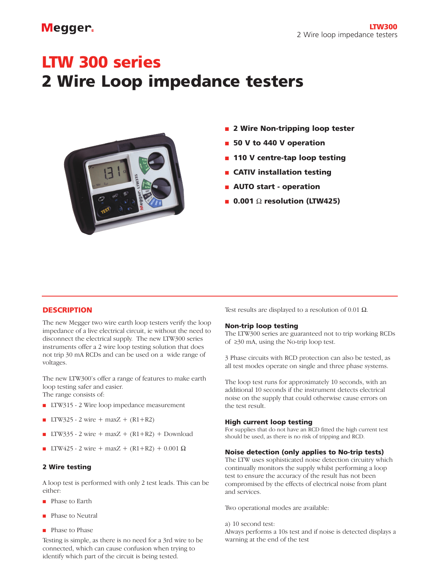# Megger.

# **LTW 300 series 2 Wire Loop impedance testers**



- **2 Wire Non-tripping loop tester**
- 50 V to 440 V operation
- **110 V centre-tap loop testing**
- **CATIV installation testing**
- **AUTO start operation**
- **0.001** Ω **resolution (LTW425)**

# **DESCRIPTION**

The new Megger two wire earth loop testers verify the loop impedance of a live electrical circuit, ie without the need to disconnect the electrical supply. The new LTW300 series instruments offer a 2 wire loop testing solution that does not trip 30 mA RCDs and can be used on a wide range of voltages.

The new LTW300's offer a range of features to make earth loop testing safer and easier.

The range consists of:

- LTW315 2 Wire loop impedance measurement
- LTW325 2 wire + maxZ +  $(R1 + R2)$
- LTW335 2 wire + maxZ +  $(R1+R2)$  + Download
- LTW425 2 wire + maxZ + (R1+R2) + 0.001 Ω

### **2 Wire testing**

A loop test is performed with only 2 test leads. This can be either:

- Phase to Earth
- Phase to Neutral
- Phase to Phase

Testing is simple, as there is no need for a 3rd wire to be connected, which can cause confusion when trying to identify which part of the circuit is being tested.

Test results are displayed to a resolution of 0.01  $\Omega$ .

### **Non-trip loop testing**

The LTW300 series are guaranteed not to trip working RCDs of ≥30 mA, using the No-trip loop test.

3 Phase circuits with RCD protection can also be tested, as all test modes operate on single and three phase systems.

The loop test runs for approximately 10 seconds, with an additional 10 seconds if the instrument detects electrical noise on the supply that could otherwise cause errors on the test result.

### **High current loop testing**

For supplies that do not have an RCD fitted the high current test should be used, as there is no risk of tripping and RCD.

### **Noise detection (only applies to No-trip tests)**

The LTW uses sophisticated noise detection circuitry which continually monitors the supply whilst performing a loop test to ensure the accuracy of the result has not been compromised by the effects of electrical noise from plant and services.

Two operational modes are available:

### a) 10 second test:

Always performs a 10s test and if noise is detected displays a warning at the end of the test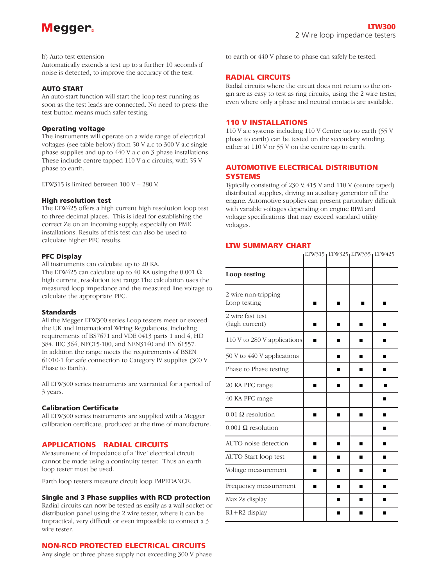

### b) Auto test extension

Automatically extends a test up to a further 10 seconds if noise is detected, to improve the accuracy of the test.

### **AUTO START**

An auto-start function will start the loop test running as soon as the test leads are connected. No need to press the test button means much safer testing.

### **Operating voltage**

The instruments will operate on a wide range of electrical voltages (see table below) from 50 V a.c to 300 V a.c single phase supplies and up to 440 V a.c on 3 phase installations. These include centre tapped 110 V a.c circuits, with 55 V phase to earth.

LTW315 is limited between 100 V – 280 V.

## **High resolution test**

The LTW425 offers a high current high resolution loop test to three decimal places. This is ideal for establishing the correct Ze on an incoming supply, especially on PME installations. Results of this test can also be used to calculate higher PFC results.

### **PFC Display**

All instruments can calculate up to 20 KA.

The LTW425 can calculate up to 40 KA using the 0.001  $\Omega$ high current, resolution test range.The calculation uses the measured loop impedance and the measured line voltage to calculate the appropriate PFC.

### **Standards**

All the Megger LTW300 series Loop testers meet or exceed the UK and International Wiring Regulations, including requirements of BS7671 and VDE 0413 parts 1 and 4, HD 384, IEC 364, NFC15-100, and NEN3140 and EN 61557. In addition the range meets the requirements of BSEN 61010-1 for safe connection to Category IV supplies (300 V Phase to Earth).

All LTW300 series instruments are warranted for a period of 3 years.

### **Calibration Certificate**

All LTW300 series instruments are supplied with a Megger calibration certificate, produced at the time of manufacture.

# **APPLICATIONS RADIAL CIRCUITS**

Measurement of impedance of a 'live' electrical circuit cannot be made using a continuity tester. Thus an earth loop tester must be used.

Earth loop testers measure circuit loop IMPEDANCE.

### **Single and 3 Phase supplies with RCD protection**

Radial circuits can now be tested as easily as a wall socket or distribution panel using the 2 wire tester, where it can be impractical, very difficult or even impossible to connect a 3 wire tester.

# **NON-RCD PROTECTED ELECTRICAL CIRCUITS**

Any single or three phase supply not exceeding 300 V phase

to earth or 440 V phase to phase can safely be tested.

# **RADIAL CIRCUITS**

Radial circuits where the circuit does not return to the origin are as easy to test as ring circuits, using the 2 wire tester, even where only a phase and neutral contacts are available.

# **110 V INSTALLATIONS**

110 V a.c systems including 110 V Centre tap to earth (55 V phase to earth) can be tested on the secondary winding, either at 110 V or 55 V on the centre tap to earth.

# **AUTOMOTIVE ELECTRICAL DISTRIBUTION SYSTEMS**

Typically consisting of 230 V, 415 V and 110 V (centre taped) distributed supplies, driving an auxiliary generator off the engine. Automotive supplies can present particulary difficult with variable voltages depending on engine RPM and voltage specifications that may exceed standard utility voltages.

# **LTW SUMMARY CHART**

|                                     |   | LTW315 <sub>1</sub> LTW325 <sub>1</sub> LTW335 <sub>1</sub> LTW425 |   |   |
|-------------------------------------|---|--------------------------------------------------------------------|---|---|
| Loop testing                        |   |                                                                    |   |   |
| 2 wire non-tripping<br>Loop testing |   |                                                                    |   |   |
| 2 wire fast test<br>(high current)  | ■ | ш                                                                  | ■ |   |
| 110 V to 280 V applications         | п | $\blacksquare$                                                     | ■ |   |
| 50 V to 440 V applications          |   | ▬                                                                  | ■ |   |
| Phase to Phase testing              |   | $\blacksquare$                                                     | ■ | п |
| 20 KA PFC range                     |   | ш                                                                  | ■ |   |
| 40 KA PFC range                     |   |                                                                    |   | ■ |
| $0.01 \Omega$ resolution            | ■ | ▬                                                                  | ■ | ■ |
| $0.001$ $\Omega$ resolution         |   |                                                                    |   |   |
| AUTO noise detection                |   |                                                                    | ■ |   |
| AUTO Start loop test                | ▬ | ■                                                                  | ■ |   |
| Voltage measurement                 | п | $\blacksquare$                                                     | ■ | ■ |
| Frequency measurement               | п | ■                                                                  | ■ |   |
| Max Zs display                      |   | п                                                                  | ■ | ▬ |
| $R1 + R2$ display                   |   | ш                                                                  | ■ | ■ |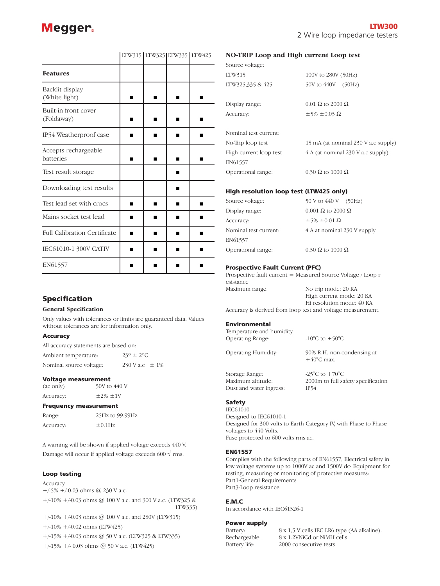| <b>Features</b>                     |   |   |  |
|-------------------------------------|---|---|--|
| Backlit display<br>(White light)    |   |   |  |
| Built-in front cover<br>(Foldaway)  | ٠ | ■ |  |
| IP54 Weatherproof case              | ٠ |   |  |
| Accepts rechargeable<br>batteries   |   |   |  |
| Test result storage                 |   |   |  |
| Downloading test results            |   | п |  |
| Test lead set with crocs            | ٠ |   |  |
| Mains socket test lead              |   |   |  |
| <b>Full Calibration Certificate</b> |   |   |  |
| IEC61010-1 300V CATIV               |   |   |  |
| EN61557                             |   |   |  |

# LTW315 LTW325 LTW335 LTW425

# **Specification**

### **General Specification**

Only values with tolerances or limits are guaranteed data. Values without tolerances are for information only.

### **Accuracy**

All accuracy statements are based on:

Ambient temperature:  $23^\circ \pm 2^\circ \text{C}$ Nominal source voltage:  $230 \text{ V a.c} \pm 1\%$ 

### **Voltage measurement**

(ac only) 50V to 440 V Accuracy:  $\pm 2\% \pm 1$ V

**Frequency measurement**

| Range:    | 25Hz to 99.99Hz |  |  |
|-----------|-----------------|--|--|
| Accuracy: | $\pm 0.1$ Hz    |  |  |

A warning will be shown if applied voltage exceeds 440 V. Damage will occur if applied voltage exceeds 600  $\sqrt{r}$  rms.

### **Loop testing**

# Accuracy +/-5% +/-0.03 ohms @ 230 V a.c. +/-10% +/-0.03 ohms @ 100 V a.c. and 300 V a.c. (LTW325 & LTW335) +/-10% +/-0.03 ohms @ 100 V a.c. and 280V (LTW315)

+/-10% +/-0.02 ohms (LTW425)

+/-15% +/-0.03 ohms @ 50 V a.c. (LTW325 & LTW335) +/-15% +/- 0.03 ohms @ 50 V a.c. (LTW425)

### **NO-TRIP Loop and High current Loop test**

| Source voltage:        |                                     |
|------------------------|-------------------------------------|
| LTW315                 | 100V to 280V (50Hz)                 |
| LTW325,335 & 425       | 50V to 440V<br>(50Hz)               |
|                        |                                     |
| Display range:         | $0.01$ $\Omega$ to 2000 $\Omega$    |
| Accuracy:              | $\pm$ 5% $\pm$ 0.03 $\Omega$        |
|                        |                                     |
| Nominal test current:  |                                     |
| No-Trip loop test      | 15 mA (at nominal 230 V a.c supply) |
| High current loop test | 4 A (at nominal 230 V a.c supply)   |
| EN61557                |                                     |
| Operational range:     | $0.30 \Omega$ to $1000 \Omega$      |
|                        |                                     |

### **High resolution loop test (LTW425 only)**

| Source voltage:       | 50 V to 440 V (50Hz)              |
|-----------------------|-----------------------------------|
| Display range:        | $0.001$ $\Omega$ to 2000 $\Omega$ |
| Accuracy:             | $\pm$ 5% $\pm$ 0.01 $\Omega$      |
| Nominal test current: | 4 A at nominal 230 V supply       |
| EN61557               |                                   |
| Operational range:    | $0.30 \Omega$ to 1000 $\Omega$    |
|                       |                                   |

### **Prospective Fault Current (PFC)**

Dust and water ingress: IP54

Prospective fault current = Measured Source Voltage / Loop r esistance Maximum range: No trip mode: 20 KA High current mode: 20 KA Hi resolution mode: 40 KA

Accuracy is derived from loop test and voltage measurement.

### **Environmental**

| Temperature and humidity<br><b>Operating Range:</b> | $-10^{\circ}$ C to $+50^{\circ}$ C                                                        |
|-----------------------------------------------------|-------------------------------------------------------------------------------------------|
| <b>Operating Humidity:</b>                          | 90% R.H. non-condensing at<br>$+40^{\circ}$ C max.                                        |
| Storage Range:<br>Maximum altitude:                 | -25 $\mathrm{^{\circ}C}$ to $+70\mathrm{^{\circ}C}$<br>2000m to full safety specification |

### **Safety**

IEC61010 Designed to IEC61010-1 Designed for 300 volts to Earth Category IV, with Phase to Phase voltages to 440 Volts. Fuse protected to 600 volts rms ac.

### **EN61557**

Complies with the following parts of EN61557, Electrical safety in low voltage systems up to 1000V ac and 1500V dc- Equipment for testing, measuring or monitoring of protective measures: Part1-General Requirements Part3-Loop resistance

### **E.M.C**

In accordance with IEC61326-1

### **Power supply**

Battery: 8 x 1,5 V cells IEC LR6 type (AA alkaline).<br>Rechargeable: 8 x 1.2VNiCd or NiMH cells 8 x 1.2VNiCd or NiMH cells Battery life: 2000 consecutive tests